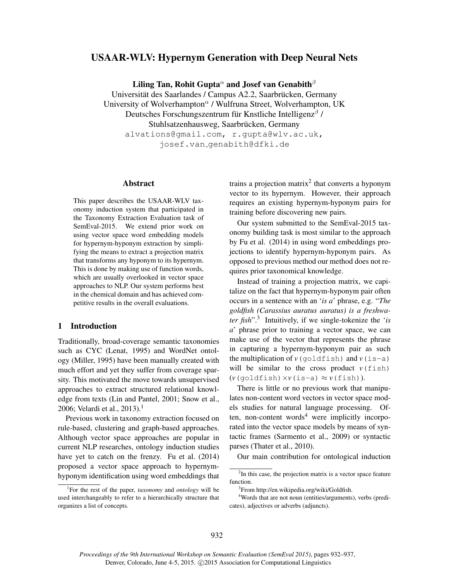# USAAR-WLV: Hypernym Generation with Deep Neural Nets

Liling Tan, Rohit Gupta<sup> $\alpha$ </sup> and Josef van Genabith $\beta$ 

Universität des Saarlandes / Campus A2.2, Saarbrücken, Germany University of Wolverhampton<sup>a</sup> / Wulfruna Street, Wolverhampton, UK Deutsches Forschungszentrum für Knstliche Intelligenz $\beta$  / Stuhlsatzenhausweg, Saarbrücken, Germany alvations@gmail.com, r.gupta@wlv.ac.uk,

josef.van genabith@dfki.de

#### Abstract

This paper describes the USAAR-WLV taxonomy induction system that participated in the Taxonomy Extraction Evaluation task of SemEval-2015. We extend prior work on using vector space word embedding models for hypernym-hyponym extraction by simplifying the means to extract a projection matrix that transforms any hyponym to its hypernym. This is done by making use of function words, which are usually overlooked in vector space approaches to NLP. Our system performs best in the chemical domain and has achieved competitive results in the overall evaluations.

# 1 Introduction

Traditionally, broad-coverage semantic taxonomies such as CYC (Lenat, 1995) and WordNet ontology (Miller, 1995) have been manually created with much effort and yet they suffer from coverage sparsity. This motivated the move towards unsupervised approaches to extract structured relational knowledge from texts (Lin and Pantel, 2001; Snow et al., 2006; Velardi et al., 2013).<sup>1</sup>

Previous work in taxonomy extraction focused on rule-based, clustering and graph-based approaches. Although vector space approaches are popular in current NLP researches, ontology induction studies have yet to catch on the frenzy. Fu et al. (2014) proposed a vector space approach to hypernymhyponym identification using word embeddings that

trains a projection matrix<sup>2</sup> that converts a hyponym vector to its hypernym. However, their approach requires an existing hypernym-hyponym pairs for training before discovering new pairs.

Our system submitted to the SemEval-2015 taxonomy building task is most similar to the approach by Fu et al. (2014) in using word embeddings projections to identify hypernym-hyponym pairs. As opposed to previous method our method does not requires prior taxonomical knowledge.

Instead of training a projection matrix, we capitalize on the fact that hypernym-hyponym pair often occurs in a sentence with an '*is a*' phrase, e.g. "*The goldfish (Carassius auratus auratus) is a freshwater fish*".<sup>3</sup> Intuitively, if we single-tokenize the '*is a*' phrase prior to training a vector space, we can make use of the vector that represents the phrase in capturing a hypernym-hyponym pair as such the multiplication of  $v$ (goldfish) and  $v$ (is-a) will be similar to the cross product  $v(fish)$  $(v$ (goldfish)  $\times v$ (is-a)  $\approx v$ (fish)).

There is little or no previous work that manipulates non-content word vectors in vector space models studies for natural language processing. Often, non-content words $4$  were implicitly incorporated into the vector space models by means of syntactic frames (Sarmento et al., 2009) or syntactic parses (Thater et al., 2010).

Our main contribution for ontological induction

<sup>1</sup>For the rest of the paper, *taxonomy* and *ontology* will be used interchangeably to refer to a hierarchically structure that organizes a list of concepts.

 $2$ In this case, the projection matrix is a vector space feature function.

<sup>&</sup>lt;sup>3</sup>From http://en.wikipedia.org/wiki/Goldfish.

<sup>4</sup>Words that are not noun (entities/arguments), verbs (predicates), adjectives or adverbs (adjuncts).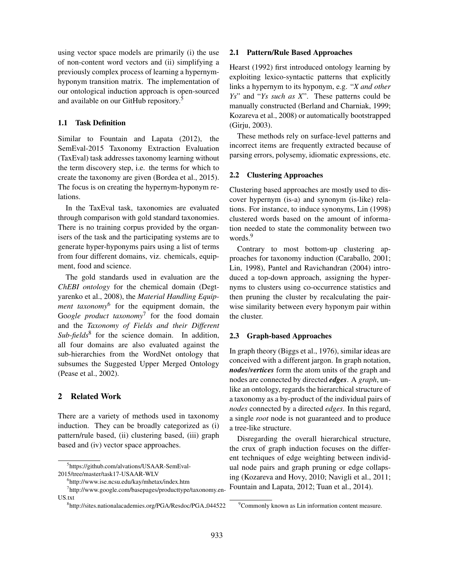using vector space models are primarily (i) the use of non-content word vectors and (ii) simplifying a previously complex process of learning a hypernymhyponym transition matrix. The implementation of our ontological induction approach is open-sourced and available on our GitHub repository.<sup>5</sup>

# 1.1 Task Definition

Similar to Fountain and Lapata (2012), the SemEval-2015 Taxonomy Extraction Evaluation (TaxEval) task addresses taxonomy learning without the term discovery step, i.e. the terms for which to create the taxonomy are given (Bordea et al., 2015). The focus is on creating the hypernym-hyponym relations.

In the TaxEval task, taxonomies are evaluated through comparison with gold standard taxonomies. There is no training corpus provided by the organisers of the task and the participating systems are to generate hyper-hyponyms pairs using a list of terms from four different domains, viz. chemicals, equipment, food and science.

The gold standards used in evaluation are the *ChEBI ontology* for the chemical domain (Degtyarenko et al., 2008), the *Material Handling Equipment taxonomy*<sup>6</sup> for the equipment domain, the Go*ogle product taxonomy*<sup>7</sup> for the food domain and the *Taxonomy of Fields and their Different* Sub-fields<sup>8</sup> for the science domain. In addition, all four domains are also evaluated against the sub-hierarchies from the WordNet ontology that subsumes the Suggested Upper Merged Ontology (Pease et al., 2002).

# 2 Related Work

There are a variety of methods used in taxonomy induction. They can be broadly categorized as (i) pattern/rule based, (ii) clustering based, (iii) graph based and (iv) vector space approaches.

5 https://github.com/alvations/USAAR-SemEval-2015/tree/master/task17-USAAR-WLV

### 2.1 Pattern/Rule Based Approaches

Hearst (1992) first introduced ontology learning by exploiting lexico-syntactic patterns that explicitly links a hypernym to its hyponym, e.g. "*X and other Ys*" and "*Ys such as X*". These patterns could be manually constructed (Berland and Charniak, 1999; Kozareva et al., 2008) or automatically bootstrapped (Girju, 2003).

These methods rely on surface-level patterns and incorrect items are frequently extracted because of parsing errors, polysemy, idiomatic expressions, etc.

### 2.2 Clustering Approaches

Clustering based approaches are mostly used to discover hypernym (is-a) and synonym (is-like) relations. For instance, to induce synonyms, Lin (1998) clustered words based on the amount of information needed to state the commonality between two words.<sup>9</sup>

Contrary to most bottom-up clustering approaches for taxonomy induction (Caraballo, 2001; Lin, 1998), Pantel and Ravichandran (2004) introduced a top-down approach, assigning the hypernyms to clusters using co-occurrence statistics and then pruning the cluster by recalculating the pairwise similarity between every hyponym pair within the cluster.

### 2.3 Graph-based Approaches

In graph theory (Biggs et al., 1976), similar ideas are conceived with a different jargon. In graph notation, *nodes*/*vertices* form the atom units of the graph and nodes are connected by directed *edges*. A *graph*, unlike an ontology, regards the hierarchical structure of a taxonomy as a by-product of the individual pairs of *nodes* connected by a directed *edges*. In this regard, a single *root* node is not guaranteed and to produce a tree-like structure.

Disregarding the overall hierarchical structure, the crux of graph induction focuses on the different techniques of edge weighting between individual node pairs and graph pruning or edge collapsing (Kozareva and Hovy, 2010; Navigli et al., 2011; Fountain and Lapata, 2012; Tuan et al., 2014).

<sup>6</sup> http://www.ise.ncsu.edu/kay/mhetax/index.htm

<sup>7</sup> http://www.google.com/basepages/producttype/taxonomy.en-US.txt

<sup>&</sup>lt;sup>8</sup>http://sites.nationalacademies.org/PGA/Resdoc/PGA\_044522

<sup>&</sup>lt;sup>9</sup>Commonly known as Lin information content measure.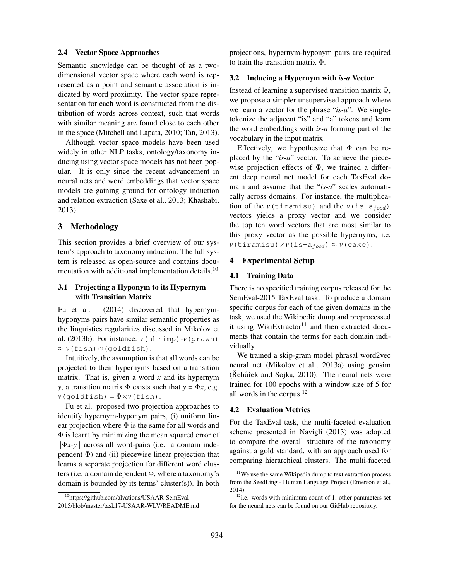### 2.4 Vector Space Approaches

Semantic knowledge can be thought of as a twodimensional vector space where each word is represented as a point and semantic association is indicated by word proximity. The vector space representation for each word is constructed from the distribution of words across context, such that words with similar meaning are found close to each other in the space (Mitchell and Lapata, 2010; Tan, 2013).

Although vector space models have been used widely in other NLP tasks, ontology/taxonomy inducing using vector space models has not been popular. It is only since the recent advancement in neural nets and word embeddings that vector space models are gaining ground for ontology induction and relation extraction (Saxe et al., 2013; Khashabi, 2013).

### 3 Methodology

This section provides a brief overview of our system's approach to taxonomy induction. The full system is released as open-source and contains documentation with additional implementation details.<sup>10</sup>

# 3.1 Projecting a Hyponym to its Hypernym with Transition Matrix

Fu et al. (2014) discovered that hypernymhyponyms pairs have similar semantic properties as the linguistics regularities discussed in Mikolov et al. (2013b). For instance: *v*(shrimp)-*v*(prawn) ≈ *v*(fish)-*v*(goldfish).

Intuitively, the assumption is that all words can be projected to their hypernyms based on a transition matrix. That is, given a word *x* and its hypernym *y*, a transition matrix  $\Phi$  exists such that  $y = \Phi x$ , e.g.  $v$ (goldfish) =  $\Phi \times v$ (fish).

Fu et al. proposed two projection approaches to identify hypernym-hyponym pairs, (i) uniform linear projection where  $\Phi$  is the same for all words and Φ is learnt by minimizing the mean squared error of  $\|\Phi x - y\|$  across all word-pairs (i.e. a domain independent  $\Phi$ ) and (ii) piecewise linear projection that learns a separate projection for different word clusters (i.e. a domain dependent  $\Phi$ , where a taxonomy's domain is bounded by its terms' cluster(s)). In both

projections, hypernym-hyponym pairs are required to train the transition matrix Φ.

#### 3.2 Inducing a Hypernym with *is-a* Vector

Instead of learning a supervised transition matrix  $\Phi$ , we propose a simpler unsupervised approach where we learn a vector for the phrase "*is-a*". We singletokenize the adjacent "is" and "a" tokens and learn the word embeddings with *is-a* forming part of the vocabulary in the input matrix.

Effectively, we hypothesize that  $\Phi$  can be replaced by the "*is-a*" vector. To achieve the piecewise projection effects of  $\Phi$ , we trained a different deep neural net model for each TaxEval domain and assume that the "*is-a*" scales automatically across domains. For instance, the multiplication of the  $v(\text{tiramisu})$  and the  $v(\text{is-a}_{food})$ vectors yields a proxy vector and we consider the top ten word vectors that are most similar to this proxy vector as the possible hypernyms, i.e.  $v(\text{tiramisu}) \times v(\text{is-a}_{food}) \approx v(\text{cake}).$ 

# 4 Experimental Setup

#### 4.1 Training Data

There is no specified training corpus released for the SemEval-2015 TaxEval task. To produce a domain specific corpus for each of the given domains in the task, we used the Wikipedia dump and preprocessed it using WikiExtractor $11$  and then extracted documents that contain the terms for each domain individually.

We trained a skip-gram model phrasal word2vec neural net (Mikolov et al., 2013a) using gensim  $(Kehûřek and Sojka, 2010)$ . The neural nets were trained for 100 epochs with a window size of 5 for all words in the corpus.<sup>12</sup>

### 4.2 Evaluation Metrics

For the TaxEval task, the multi-faceted evaluation scheme presented in Navigli (2013) was adopted to compare the overall structure of the taxonomy against a gold standard, with an approach used for comparing hierarchical clusters. The multi-faceted

<sup>10</sup>https://github.com/alvations/USAAR-SemEval-2015/blob/master/task17-USAAR-WLV/README.md

 $11$ We use the same Wikipedia dump to text extraction process from the SeedLing - Human Language Project (Emerson et al., 2014).

 $12$ i.e. words with minimum count of 1; other parameters set for the neural nets can be found on our GitHub repository.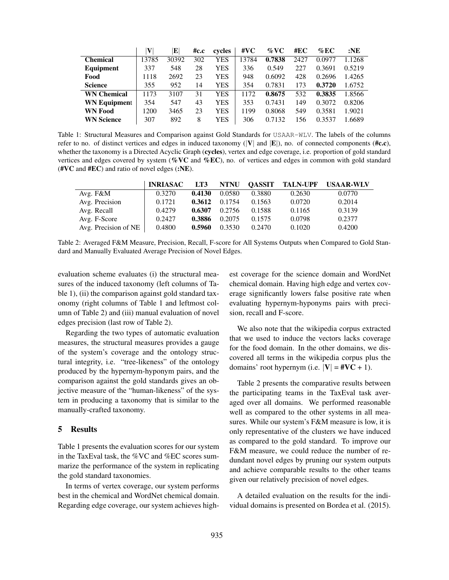|                     | V     | E     | #c.c | cycles | #VC   | $\%$ VC | #EC  | $\%$ EC | $:$ NE |
|---------------------|-------|-------|------|--------|-------|---------|------|---------|--------|
| <b>Chemical</b>     | 13785 | 30392 | 302  | YES    | 13784 | 0.7838  | 2427 | 0.0977  | 1.1268 |
| <b>Equipment</b>    | 337   | 548   | 28   | YES    | 336   | 0.549   | 227  | 0.3691  | 0.5219 |
| Food                | 1118  | 2692  | 23   | YES    | 948   | 0.6092  | 428  | 0.2696  | 1.4265 |
| <b>Science</b>      | 355   | 952   | 14   | YES    | 354   | 0.7831  | 173  | 0.3720  | 1.6752 |
| <b>WN Chemical</b>  | 1173  | 3107  | 31   | YES    | 1172  | 0.8675  | 532  | 0.3835  | 1.8566 |
| <b>WN Equipment</b> | 354   | 547   | 43   | YES    | 353   | 0.7431  | 149  | 0.3072  | 0.8206 |
| <b>WN Food</b>      | 1200  | 3465  | 23   | YES    | 1199  | 0.8068  | 549  | 0.3581  | 1.9021 |
| <b>WN Science</b>   | 307   | 892   | 8    | YES    | 306   | 0.7132  | 156  | 0.3537  | 1.6689 |

Table 1: Structural Measures and Comparison against Gold Standards for USAAR-WLV. The labels of the columns refer to no. of distinct vertices and edges in induced taxonomy ( $|V|$  and  $|E|$ ), no. of connected components ( $\#c.c$ ), whether the taxonomy is a Directed Acyclic Graph (cycles), vertex and edge coverage, i.e. proportion of gold standard vertices and edges covered by system (%VC and %EC), no. of vertices and edges in common with gold standard (#VC and #EC) and ratio of novel edges (:NE).

|                      | <b>INRIASAC</b> | LT3    | <b>NTNU</b> | <b>QASSIT</b> | <b>TALN-UPF</b> | <b>USAAR-WLV</b> |
|----------------------|-----------------|--------|-------------|---------------|-----------------|------------------|
| Avg. F&M             | 0.3270          | 0.4130 | 0.0580      | 0.3880        | 0.2630          | 0.0770           |
| Avg. Precision       | 0.1721          | 0.3612 | 0.1754      | 0.1563        | 0.0720          | 0.2014           |
| Avg. Recall          | 0.4279          | 0.6307 | 0.2756      | 0.1588        | 0.1165          | 0.3139           |
| Avg. F-Score         | 0.2427          | 0.3886 | 0.2075      | 0.1575        | 0.0798          | 0.2377           |
| Avg. Precision of NE | 0.4800          | 0.5960 | 0.3530      | 0.2470        | 0.1020          | 0.4200           |

Table 2: Averaged F&M Measure, Precision, Recall, F-score for All Systems Outputs when Compared to Gold Standard and Manually Evaluated Average Precision of Novel Edges.

evaluation scheme evaluates (i) the structural measures of the induced taxonomy (left columns of Table 1), (ii) the comparison against gold standard taxonomy (right columns of Table 1 and leftmost column of Table 2) and (iii) manual evaluation of novel edges precision (last row of Table 2).

Regarding the two types of automatic evaluation measures, the structural measures provides a gauge of the system's coverage and the ontology structural integrity, i.e. "tree-likeness" of the ontology produced by the hypernym-hyponym pairs, and the comparison against the gold standards gives an objective measure of the "human-likeness" of the system in producing a taxonomy that is similar to the manually-crafted taxonomy.

### 5 Results

Table 1 presents the evaluation scores for our system in the TaxEval task, the %VC and %EC scores summarize the performance of the system in replicating the gold standard taxonomies.

In terms of vertex coverage, our system performs best in the chemical and WordNet chemical domain. Regarding edge coverage, our system achieves highest coverage for the science domain and WordNet chemical domain. Having high edge and vertex coverage significantly lowers false positive rate when evaluating hypernym-hyponyms pairs with precision, recall and F-score.

We also note that the wikipedia corpus extracted that we used to induce the vectors lacks coverage for the food domain. In the other domains, we discovered all terms in the wikipedia corpus plus the domains' root hypernym (i.e.  $|V| = #VC + 1$ ).

Table 2 presents the comparative results between the participating teams in the TaxEval task averaged over all domains. We performed reasonable well as compared to the other systems in all measures. While our system's F&M measure is low, it is only representative of the clusters we have induced as compared to the gold standard. To improve our F&M measure, we could reduce the number of redundant novel edges by pruning our system outputs and achieve comparable results to the other teams given our relatively precision of novel edges.

A detailed evaluation on the results for the individual domains is presented on Bordea et al. (2015).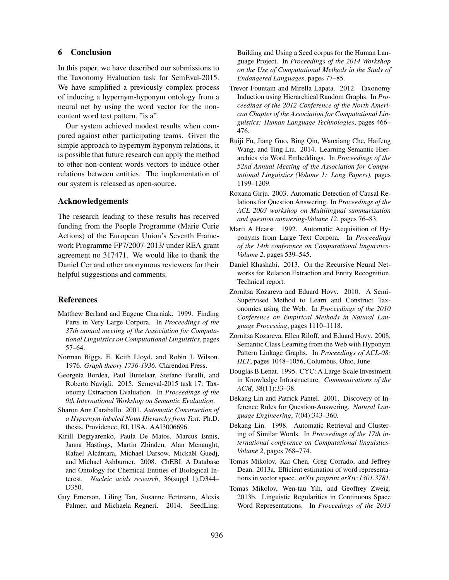# 6 Conclusion

In this paper, we have described our submissions to the Taxonomy Evaluation task for SemEval-2015. We have simplified a previously complex process of inducing a hypernym-hyponym ontology from a neural net by using the word vector for the noncontent word text pattern, "is a".

Our system achieved modest results when compared against other participating teams. Given the simple approach to hypernym-hyponym relations, it is possible that future research can apply the method to other non-content words vectors to induce other relations between entities. The implementation of our system is released as open-source.

## Acknowledgements

The research leading to these results has received funding from the People Programme (Marie Curie Actions) of the European Union's Seventh Framework Programme FP7/2007-2013/ under REA grant agreement no 317471. We would like to thank the Daniel Cer and other anonymous reviewers for their helpful suggestions and comments.

# References

- Matthew Berland and Eugene Charniak. 1999. Finding Parts in Very Large Corpora. In *Proceedings of the 37th annual meeting of the Association for Computational Linguistics on Computational Linguistics*, pages 57–64.
- Norman Biggs, E. Keith Lloyd, and Robin J. Wilson. 1976. *Graph theory 1736-1936*. Clarendon Press.
- Georgeta Bordea, Paul Buitelaar, Stefano Faralli, and Roberto Navigli. 2015. Semeval-2015 task 17: Taxonomy Extraction Evaluation. In *Proceedings of the 9th International Workshop on Semantic Evaluation*.
- Sharon Ann Caraballo. 2001. *Automatic Construction of a Hypernym-labeled Noun Hierarchy from Text*. Ph.D. thesis, Providence, RI, USA. AAI3006696.
- Kirill Degtyarenko, Paula De Matos, Marcus Ennis, Janna Hastings, Martin Zbinden, Alan Mcnaught, Rafael Alcántara, Michael Darsow, Mickaël Guedj, and Michael Ashburner. 2008. ChEBI: A Database and Ontology for Chemical Entities of Biological Interest. *Nucleic acids research*, 36(suppl 1):D344– D350.
- Guy Emerson, Liling Tan, Susanne Fertmann, Alexis Palmer, and Michaela Regneri. 2014. SeedLing:

Building and Using a Seed corpus for the Human Language Project. In *Proceedings of the 2014 Workshop on the Use of Computational Methods in the Study of Endangered Languages*, pages 77–85.

- Trevor Fountain and Mirella Lapata. 2012. Taxonomy Induction using Hierarchical Random Graphs. In *Proceedings of the 2012 Conference of the North American Chapter of the Association for Computational Linguistics: Human Language Technologies*, pages 466– 476.
- Ruiji Fu, Jiang Guo, Bing Qin, Wanxiang Che, Haifeng Wang, and Ting Liu. 2014. Learning Semantic Hierarchies via Word Embeddings. In *Proceedings of the 52nd Annual Meeting of the Association for Computational Linguistics (Volume 1: Long Papers)*, pages 1199–1209.
- Roxana Girju. 2003. Automatic Detection of Causal Relations for Question Answering. In *Proceedings of the ACL 2003 workshop on Multilingual summarization and question answering-Volume 12*, pages 76–83.
- Marti A Hearst. 1992. Automatic Acquisition of Hyponyms from Large Text Corpora. In *Proceedings of the 14th conference on Computational linguistics-Volume 2*, pages 539–545.
- Daniel Khashabi. 2013. On the Recursive Neural Networks for Relation Extraction and Entity Recognition. Technical report.
- Zornitsa Kozareva and Eduard Hovy. 2010. A Semi-Supervised Method to Learn and Construct Taxonomies using the Web. In *Proceedings of the 2010 Conference on Empirical Methods in Natural Language Processing*, pages 1110–1118.
- Zornitsa Kozareva, Ellen Riloff, and Eduard Hovy. 2008. Semantic Class Learning from the Web with Hyponym Pattern Linkage Graphs. In *Proceedings of ACL-08: HLT*, pages 1048–1056, Columbus, Ohio, June.
- Douglas B Lenat. 1995. CYC: A Large-Scale Investment in Knowledge Infrastructure. *Communications of the ACM*, 38(11):33–38.
- Dekang Lin and Patrick Pantel. 2001. Discovery of Inference Rules for Question-Answering. *Natural Language Engineering*, 7(04):343–360.
- Dekang Lin. 1998. Automatic Retrieval and Clustering of Similar Words. In *Proceedings of the 17th international conference on Computational linguistics-Volume 2*, pages 768–774.
- Tomas Mikolov, Kai Chen, Greg Corrado, and Jeffrey Dean. 2013a. Efficient estimation of word representations in vector space. *arXiv preprint arXiv:1301.3781*.
- Tomas Mikolov, Wen-tau Yih, and Geoffrey Zweig. 2013b. Linguistic Regularities in Continuous Space Word Representations. In *Proceedings of the 2013*